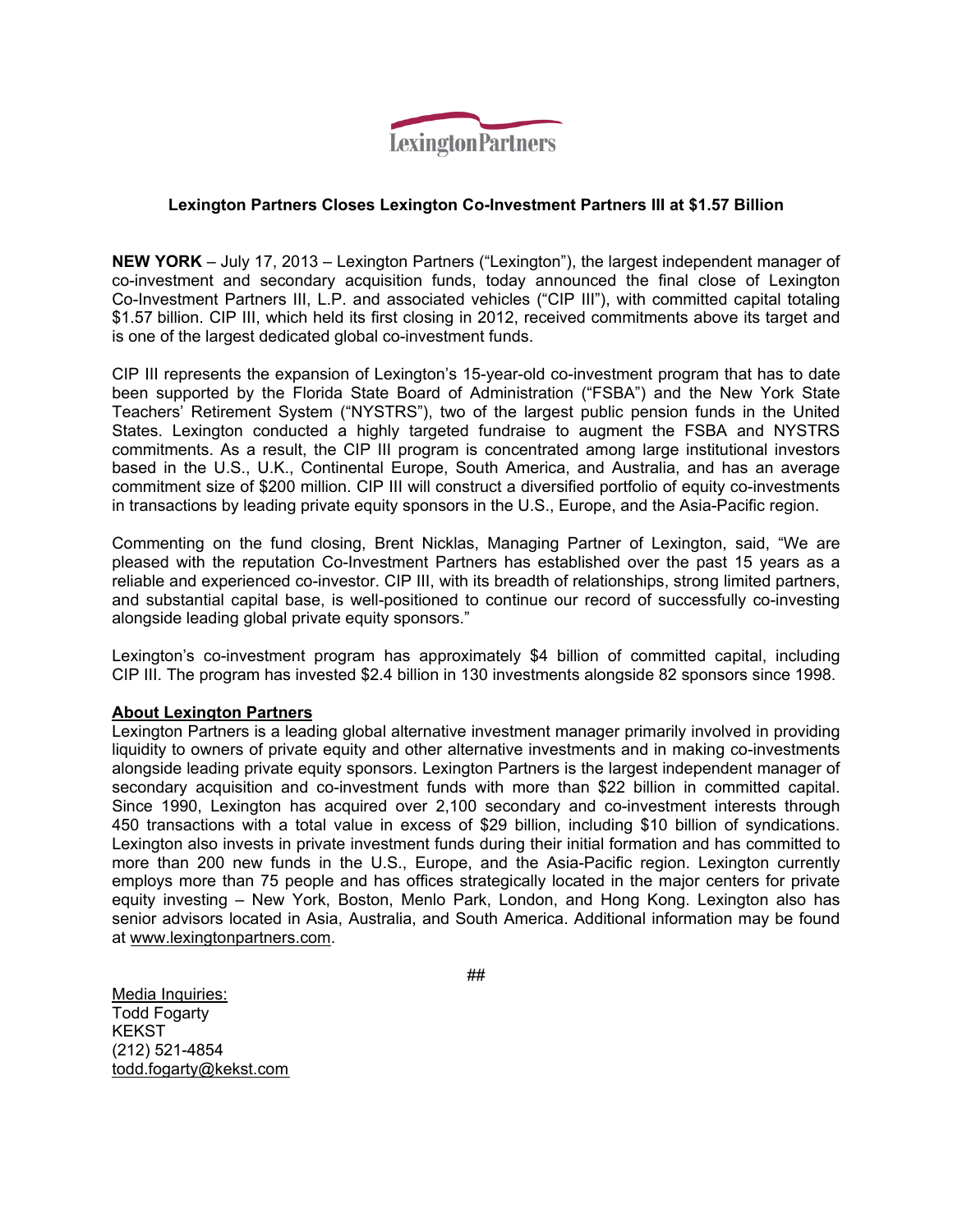

### **Lexington Partners Closes Lexington Co-Investment Partners III at \$1.57 Billion**

**NEW YORK** – July 17, 2013 – Lexington Partners ("Lexington"), the largest independent manager of co-investment and secondary acquisition funds, today announced the final close of Lexington Co-Investment Partners III, L.P. and associated vehicles ("CIP III"), with committed capital totaling \$1.57 billion. CIP III, which held its first closing in 2012, received commitments above its target and is one of the largest dedicated global co-investment funds.

CIP III represents the expansion of Lexington's 15-year-old co-investment program that has to date been supported by the Florida State Board of Administration ("FSBA") and the New York State Teachers' Retirement System ("NYSTRS"), two of the largest public pension funds in the United States. Lexington conducted a highly targeted fundraise to augment the FSBA and NYSTRS commitments. As a result, the CIP III program is concentrated among large institutional investors based in the U.S., U.K., Continental Europe, South America, and Australia, and has an average commitment size of \$200 million. CIP III will construct a diversified portfolio of equity co-investments in transactions by leading private equity sponsors in the U.S., Europe, and the Asia-Pacific region.

Commenting on the fund closing, Brent Nicklas, Managing Partner of Lexington, said, "We are pleased with the reputation Co-Investment Partners has established over the past 15 years as a reliable and experienced co-investor. CIP III, with its breadth of relationships, strong limited partners, and substantial capital base, is well-positioned to continue our record of successfully co-investing alongside leading global private equity sponsors."

Lexington's co-investment program has approximately \$4 billion of committed capital, including CIP III. The program has invested \$2.4 billion in 130 investments alongside 82 sponsors since 1998.

#### **About Lexington Partners**

Lexington Partners is a leading global alternative investment manager primarily involved in providing liquidity to owners of private equity and other alternative investments and in making co-investments alongside leading private equity sponsors. Lexington Partners is the largest independent manager of secondary acquisition and co-investment funds with more than \$22 billion in committed capital. Since 1990, Lexington has acquired over 2,100 secondary and co-investment interests through 450 transactions with a total value in excess of \$29 billion, including \$10 billion of syndications. Lexington also invests in private investment funds during their initial formation and has committed to more than 200 new funds in the U.S., Europe, and the Asia-Pacific region. Lexington currently employs more than 75 people and has offices strategically located in the major centers for private equity investing – New York, Boston, Menlo Park, London, and Hong Kong. Lexington also has senior advisors located in Asia, Australia, and South America. Additional information may be found at www.lexingtonpartners.com.

##

Media Inquiries: Todd Fogarty **KEKST** (212) 521-4854 todd.fogarty@kekst.com